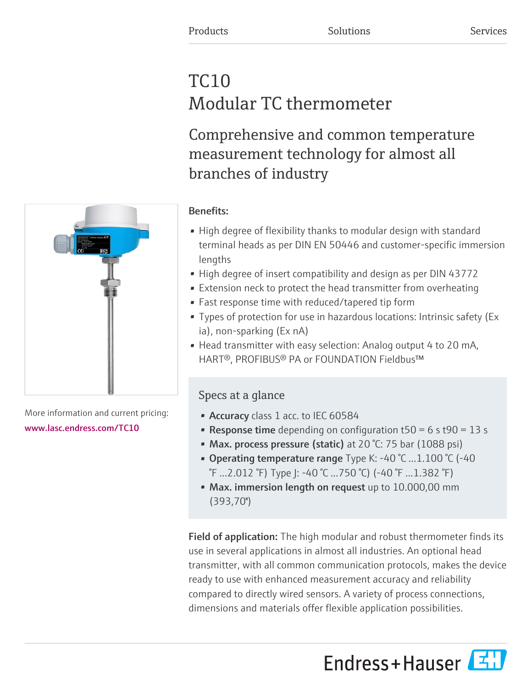# TC10 Modular TC thermometer

Comprehensive and common temperature measurement technology for almost all branches of industry



More information and current pricing: [www.lasc.endress.com/TC10](https://www.lasc.endress.com/TC10)

# Benefits:

- High degree of flexibility thanks to modular design with standard terminal heads as per DIN EN 50446 and customer-specific immersion lengths
- High degree of insert compatibility and design as per DIN 43772
- Extension neck to protect the head transmitter from overheating
- Fast response time with reduced/tapered tip form
- Types of protection for use in hazardous locations: Intrinsic safety (Ex ia), non-sparking (Ex nA)
- Head transmitter with easy selection: Analog output 4 to 20 mA, HART®, PROFIBUS® PA or FOUNDATION Fieldbus™

# Specs at a glance

- Accuracy class 1 acc. to IEC 60584
- **Response time** depending on configuration  $t50 = 6$  s  $t90 = 13$  s
- Max. process pressure (static) at 20 °C: 75 bar (1088 psi)
- Operating temperature range Type K:  $-40$  °C  $...1.100$  °C ( $-40$ ) °F ...2.012 °F) Type J: -40 °C ...750 °C) (-40 °F ...1.382 °F)
- Max. immersion length on request up to 10.000,00 mm (393,70'')

Field of application: The high modular and robust thermometer finds its use in several applications in almost all industries. An optional head transmitter, with all common communication protocols, makes the device ready to use with enhanced measurement accuracy and reliability compared to directly wired sensors. A variety of process connections, dimensions and materials offer flexible application possibilities.

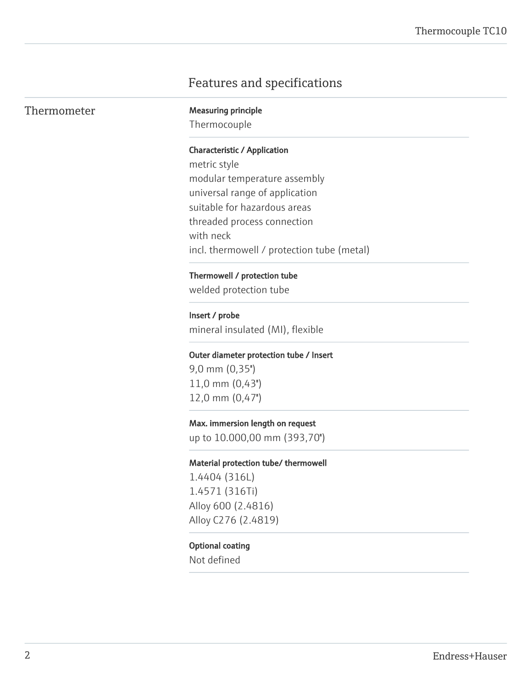# Features and specifications

| Thermometer |
|-------------|
|-------------|

**Measuring principle** 

Thermocouple

#### Characteristic / Application

metric style modular temperature assembly universal range of application suitable for hazardous areas threaded process connection with neck incl. thermowell / protection tube (metal)

#### Thermowell / protection tube

welded protection tube

# Insert / probe

mineral insulated (MI), flexible

#### Outer diameter protection tube / Insert

9,0 mm (0,35'') 11,0 mm (0,43'') 12,0 mm (0,47'')

#### Max. immersion length on request

up to 10.000,00 mm (393,70'')

#### Material protection tube/ thermowell

1.4404 (316L) 1.4571 (316Ti) Alloy 600 (2.4816) Alloy C276 (2.4819)

#### Optional coating

Not defined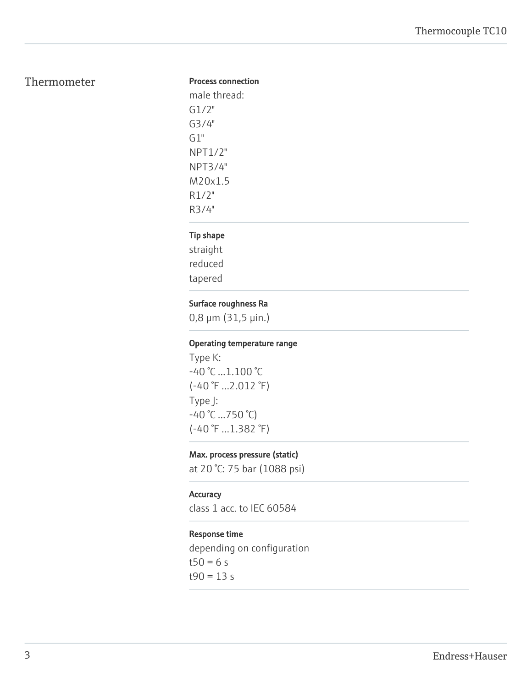# Thermometer

#### Process connection

male thread: G1/2" G3/4" G1" NPT1/2" NPT3/4" M20x1.5 R1/2" R3/4"

## Tip shape

straight reduced tapered

## Surface roughness Ra

0,8 μm (31,5 μin.)

## Operating temperature range

Type K: -40 °C ...1.100 °C (-40 °F ...2.012 °F) Type J:  $-40$  °C ...750 °C) (-40 °F ...1.382 °F)

## Max. process pressure (static)

at 20 °C: 75 bar (1088 psi)

### Accuracy

class 1 acc. to IEC 60584

#### Response time

depending on configuration  $t50 = 6 s$  $t90 = 13 s$